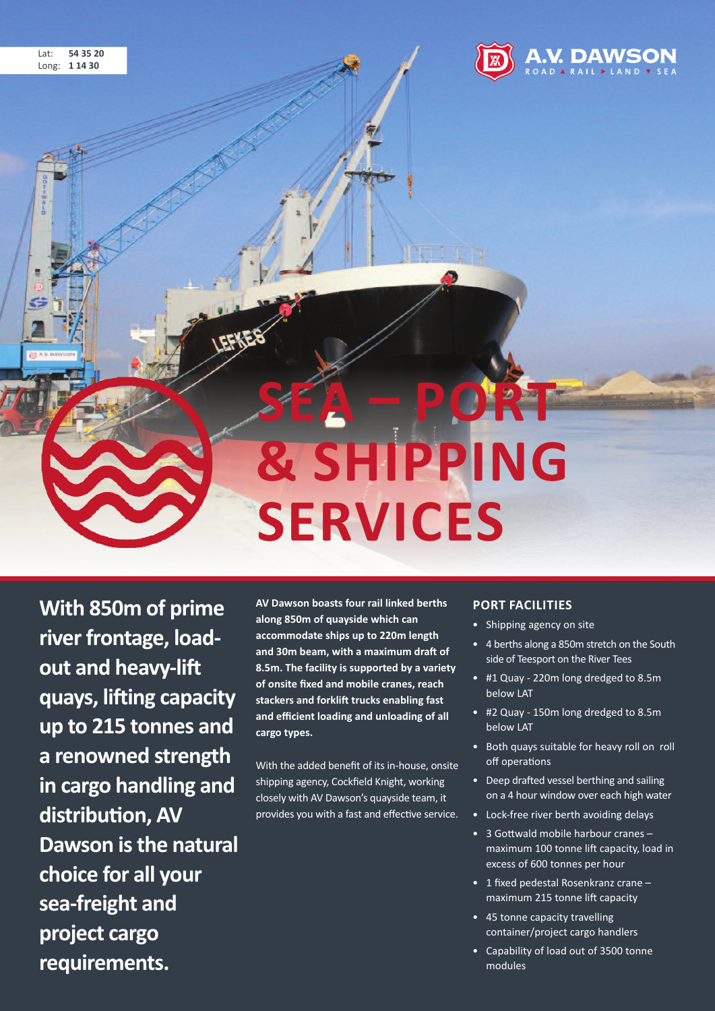

**With 850m of prime** river frontage, load**out and heavy-lift quays, lifting capacity up to 215 tonnes and a renowned strength in cargo handling and distribution, AV Dawson isthe natural choice for all your sea-freight and project cargo requirements.**

**AV Dawson boasts four rail linked berths along 850m of quayside which can accommodate ships up to 220m length and 30m beam, with a maximum draft of 8.5m. The facility is supported by a variety of onsite fixed and mobile cranes, reach stackers and forklift trucks enabling fast and efficient loading and unloading of all cargo types.**

With the added benefit of its in-house, onsite shipping agency, Cockfield Knight, working closely with AV Dawson's quayside team, it provides you with a fast and effective service.

#### **PORT FACIlITIES**

- Shipping agency on site
- 4 berths along a 850m stretch on the South side of Teesport on the River Tees
- #1 Quay 220m long dredged to 8.5m below LAT
- #2 Quay 150m long dredged to 8.5m below LAT
- Both quays suitable for heavy roll on roll off operations
- Deep drafted vessel berthing and sailing on a 4 hour window over each high water
- Lock-free river berth avoiding delays
- 3 Gottwald mobile harbour cranes maximum 100 tonne lift capacity, load in excess of 600 tonnes per hour
- 1 fixed pedestal Rosenkranz crane maximum 215 tonne lift capacity
- 45 tonne capacity travelling container/project cargo handlers
- Capability of load out of 3500 tonne modules